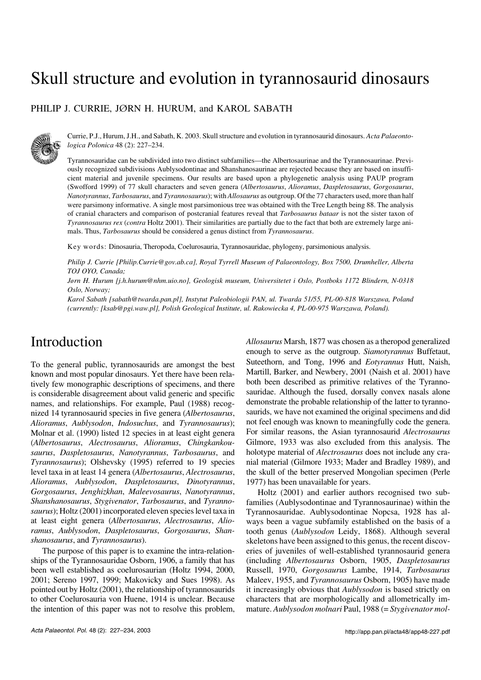# Skull structure and evolution in tyrannosaurid dinosaurs

PHILIP J. CURRIE, JØRN H. HURUM, and KAROL SABATH



Currie, P.J., Hurum, J.H., and Sabath, K. 2003. Skull structure and evolution in tyrannosaurid dinosaurs. *Acta Palaeonto− logica Polonica* 48 (2): 227–234.

Tyrannosauridae can be subdivided into two distinct subfamilies—the Albertosaurinae and the Tyrannosaurinae. Previ− ously recognized subdivisions Aublysodontinae and Shanshanosaurinae are rejected because they are based on insuffi− cient material and juvenile specimens. Our results are based upon a phylogenetic analysis using PAUP program (Swofford 1999) of 77 skull characters and seven genera (*Albertosaurus*, *Alioramus*, *Daspletosaurus*, *Gorgosaurus*, *Nanotyrannus*, *Tarbosaurus*, and *Tyrannosaurus*); with *Allosaurus* as outgroup. Of the 77 characters used, more than half were parsimony informative. A single most parsimonious tree was obtained with the Tree Length being 88. The analysis of cranial characters and comparison of postcranial features reveal that *Tarbosaurus bataar* is not the sister taxon of *Tyrannosaurus rex (contra* Holtz 2001). Their similarities are partially due to the fact that both are extremely large animals. Thus, *Tarbosaurus* should be considered a genus distinct from *Tyrannosaurus*.

Key words: Dinosauria, Theropoda, Coelurosauria, Tyrannosauridae, phylogeny, parsimonious analysis.

*Philip J. Currie [Philip.Currie@gov.ab.ca], Royal Tyrrell Museum of Palaeontology, Box 7500, Drumheller, Alberta TOJ OYO, Canada;*

*Jørn H. Hurum [j.h.hurum@nhm.uio.no], Geologisk museum, Universitetet i Oslo, Postboks 1172 Blindern, N−0318 Oslo, Norway;*

*Karol Sabath [sabath@twarda.pan.pl], Instytut Paleobiologii PAN, ul. Twarda 51/55, PL−00−818 Warszawa, Poland (currently: [ksab@pgi.waw.pl], Polish Geological Institute, ul. Rakowiecka 4, PL−00−975 Warszawa, Poland).*

### Introduction

To the general public, tyrannosaurids are amongst the best known and most popular dinosaurs. Yet there have been rela− tively few monographic descriptions of specimens, and there is considerable disagreement about valid generic and specific names, and relationships. For example, Paul (1988) recog− nized 14 tyrannosaurid species in five genera (*Albertosaurus*, *Alioramus*, *Aublysodon*, *Indosuchus*, and *Tyrannosaurus*); Molnar et al. (1990) listed 12 species in at least eight genera (*Albertosaurus*, *Alectrosaurus*, *Alioramus*, *Chingkankou− saurus*, *Daspletosaurus*, *Nanotyrannus*, *Tarbosaurus*, and *Tyrannosaurus*); Olshevsky (1995) referred to 19 species level taxa in at least 14 genera (*Albertosaurus*, *Alectrosaurus*, *Alioramus*, *Aublysodon*, *Daspletosaurus*, *Dinotyrannus*, *Gorgosaurus*, *Jenghizkhan*, *Maleevosaurus*, *Nanotyrannus*, *Shanshanosaurus*, *Stygivenator*, *Tarbosaurus*, and *Tyranno− saurus*); Holtz (2001) incorporated eleven species level taxa in at least eight genera (*Albertosaurus*, *Alectrosaurus*, *Alio− ramus*, *Aublysodon*, *Daspletosaurus*, *Gorgosaurus*, *Shan− shanosaurus*, and *Tyrannosaurus*).

The purpose of this paper is to examine the intra−relation− ships of the Tyrannosauridae Osborn, 1906, a family that has been well established as coelurosaurian (Holtz 1994, 2000, 2001; Sereno 1997, 1999; Makovicky and Sues 1998). As pointed out by Holtz (2001), the relationship of tyrannosaurids to other Coelurosauria von Huene, 1914 is unclear. Because the intention of this paper was not to resolve this problem, *Allosaurus* Marsh, 1877 was chosen as a theropod generalized enough to serve as the outgroup. *Siamotyrannus* Buffetaut, Suteethorn, and Tong, 1996 and *Eotyrannus* Hutt, Naish, Martill, Barker, and Newbery, 2001 (Naish et al. 2001) have both been described as primitive relatives of the Tyranno− sauridae. Although the fused, dorsally convex nasals alone demonstrate the probable relationship of the latter to tyranno− saurids, we have not examined the original specimens and did not feel enough was known to meaningfully code the genera. For similar reasons, the Asian tyrannosaurid *Alectrosaurus* Gilmore, 1933 was also excluded from this analysis. The holotype material of *Alectrosaurus* does not include any cra− nial material (Gilmore 1933; Mader and Bradley 1989), and the skull of the better preserved Mongolian specimen (Perle 1977) has been unavailable for years.

Holtz (2001) and earlier authors recognised two subfamilies (Aublysodontinae and Tyrannosaurinae) within the Tyrannosauridae. Aublysodontinae Nopcsa, 1928 has al− ways been a vague subfamily established on the basis of a tooth genus (*Aublysodon* Leidy, 1868). Although several skeletons have been assigned to this genus, the recent discov− eries of juveniles of well−established tyrannosaurid genera (including *Albertosaurus* Osborn, 1905, *Daspletosaurus* Russell, 1970, *Gorgosaurus* Lambe, 1914, *Tarbosaurus* Maleev, 1955, and *Tyrannosaurus* Osborn, 1905) have made it increasingly obvious that *Aublysodon* is based strictly on characters that are morphologically and allometrically im− mature. *Aublysodon molnari* Paul, 1988 (= *Stygivenator mol−*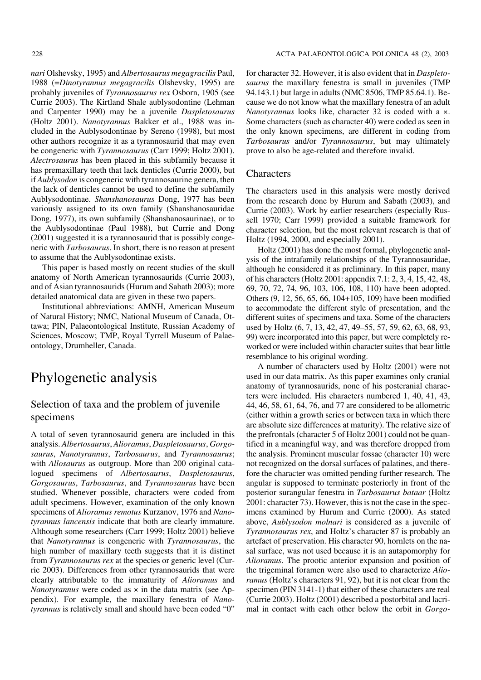*nari* Olshevsky, 1995) and *Albertosaurus megagracilis* Paul, 1988 (=*Dinotyrannus megagracilis* Olshevsky, 1995) are probably juveniles of *Tyrannosaurus rex* Osborn, 1905 (see Currie 2003). The Kirtland Shale aublysodontine (Lehman and Carpenter 1990) may be a juvenile *Daspletosaurus* (Holtz 2001). *Nanotyrannus* Bakker et al., 1988 was in− cluded in the Aublysodontinae by Sereno (1998), but most other authors recognize it as a tyrannosaurid that may even be congeneric with *Tyrannosaurus* (Carr 1999; Holtz 2001). *Alectrosaurus* has been placed in this subfamily because it has premaxillary teeth that lack denticles (Currie 2000), but if *Aublysodon* is congeneric with tyrannosaurine genera, then the lack of denticles cannot be used to define the subfamily Aublysodontinae. *Shanshanosaurus* Dong, 1977 has been variously assigned to its own family (Shanshanosauridae Dong, 1977), its own subfamily (Shanshanosaurinae), or to the Aublysodontinae (Paul 1988), but Currie and Dong (2001) suggested it is a tyrannosaurid that is possibly conge− neric with *Tarbosaurus*. In short, there is no reason at present to assume that the Aublysodontinae exists.

This paper is based mostly on recent studies of the skull anatomy of North American tyrannosaurids (Currie 2003), and of Asian tyrannosaurids (Hurum and Sabath 2003); more detailed anatomical data are given in these two papers.

Institutional abbreviations: AMNH, American Museum of Natural History; NMC, National Museum of Canada, Ot− tawa; PIN, Palaeontological Institute, Russian Academy of Sciences, Moscow; TMP, Royal Tyrrell Museum of Palae− ontology, Drumheller, Canada.

# Phylogenetic analysis

#### Selection of taxa and the problem of juvenile specimens

Atotal of seven tyrannosaurid genera are included in this analysis. *Albertosaurus*, *Alioramus*, *Daspletosaurus*, *Gorgo− saurus*, *Nanotyrannus*, *Tarbosaurus*, and *Tyrannosaurus*; with *Allosaurus* as outgroup. More than 200 original cata− logued specimens of *Albertosaurus*, *Daspletosaurus*, *Gorgosaurus*, *Tarbosaurus*, and *Tyrannosaurus* have been studied. Whenever possible, characters were coded from adult specimens. However, examination of the only known specimens of *Alioramus remotus* Kurzanov, 1976 and *Nano− tyrannus lancensis* indicate that both are clearly immature. Although some researchers (Carr 1999; Holtz 2001) believe that *Nanotyrannus* is congeneric with *Tyrannosaurus*, the high number of maxillary teeth suggests that it is distinct from *Tyrannosaurus rex* at the species or generic level (Cur− rie 2003). Differences from other tyrannosaurids that were clearly attributable to the immaturity of *Alioramus* and *Nanotyrannus* were coded as × in the data matrix (see Ap− pendix). For example, the maxillary fenestra of *Nano− tyrannus* is relatively small and should have been coded "0" for character 32. However, it is also evident that in *Daspleto− saurus* the maxillary fenestra is small in juveniles (TMP 94.143.1) but large in adults (NMC 8506, TMP 85.64.1). Because we do not know what the maxillary fenestra of an adult *Nanotyrannus* looks like, character 32 is coded with a ×. Some characters (such as character 40) were coded as seen in the only known specimens, are different in coding from *Tarbosaurus* and/or *Tyrannosaurus*, but may ultimately prove to also be age−related and therefore invalid.

#### **Characters**

The characters used in this analysis were mostly derived from the research done by Hurum and Sabath (2003), and Currie (2003). Work by earlier researchers (especially Rus− sell 1970; Carr 1999) provided a suitable framework for character selection, but the most relevant research is that of Holtz (1994, 2000, and especially 2001).

Holtz (2001) has done the most formal, phylogenetic anal− ysis of the intrafamily relationships of the Tyrannosauridae, although he considered it as preliminary. In this paper, many of his characters (Holtz 2001: appendix 7.1: 2, 3, 4, 15, 42, 48, 69, 70, 72, 74, 96, 103, 106, 108, 110) have been adopted. Others (9, 12, 56, 65, 66, 104+105, 109) have been modified to accommodate the different style of presentation, and the different suites of specimens and taxa. Some of the characters used by Holtz (6, 7, 13, 42, 47, 49–55, 57, 59, 62, 63, 68, 93, 99) were incorporated into this paper, but were completely re− worked or were included within character suites that bear little resemblance to his original wording.

Anumber of characters used by Holtz (2001) were not used in our data matrix. As this paper examines only cranial anatomy of tyrannosaurids, none of his postcranial charac− ters were included. His characters numbered 1, 40, 41, 43, 44, 46, 58, 61, 64, 76, and 77 are considered to be allometric (either within a growth series or between taxa in which there are absolute size differences at maturity). The relative size of the prefrontals (character 5 of Holtz 2001) could not be quan− tified in a meaningful way, and was therefore dropped from the analysis. Prominent muscular fossae (character 10) were not recognized on the dorsal surfaces of palatines, and there− fore the character was omitted pending further research. The angular is supposed to terminate posteriorly in front of the posterior surangular fenestra in *Tarbosaurus bataar* (Holtz 2001: character 73). However, this is not the case in the spec− imens examined by Hurum and Currie (2000). As stated above, *Aublysodon molnari* is considered as a juvenile of *Tyrannosaurus rex*, and Holtz's character 87 is probably an artefact of preservation. His character 90, hornlets on the na− sal surface, was not used because it is an autapomorphy for *Alioramus*. The prootic anterior expansion and position of the trigeminal foramen were also used to characterize *Alio− ramus* (Holtz's characters 91, 92), but it is not clear from the specimen (PIN 3141−1) that either of these characters are real (Currie 2003). Holtz (2001) described a postorbital and lacri− mal in contact with each other below the orbit in *Gorgo−*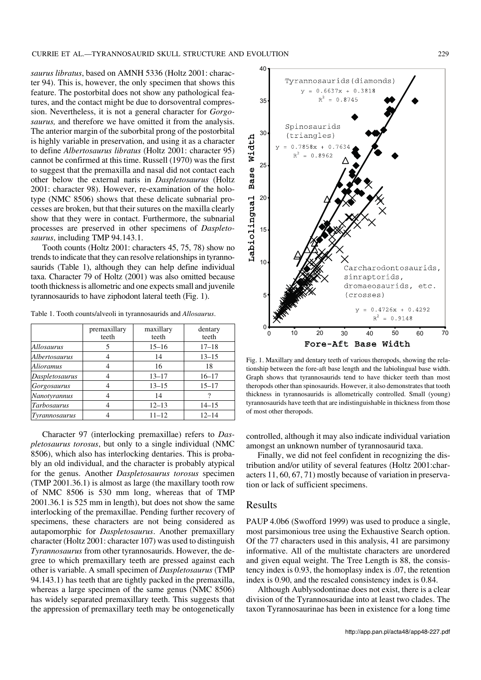*saurus libratus*, based on AMNH 5336 (Holtz 2001: charac− ter 94). This is, however, the only specimen that shows this feature. The postorbital does not show any pathological fea− tures, and the contact might be due to dorsoventral compres− sion. Nevertheless, it is not a general character for *Gorgo− saurus,* and therefore we have omitted it from the analysis. The anterior margin of the suborbital prong of the postorbital is highly variable in preservation, and using it as a character to define *Albertosaurus libratus* (Holtz 2001: character 95) cannot be confirmed at this time. Russell (1970) was the first to suggest that the premaxilla and nasal did not contact each other below the external naris in *Daspletosaurus* (Holtz 2001: character 98). However, re−examination of the holo− type (NMC 8506) shows that these delicate subnarial pro− cesses are broken, but that their sutures on the maxilla clearly show that they were in contact. Furthermore, the subnarial processes are preserved in other specimens of *Daspleto− saurus*, including TMP 94.143.1.

Tooth counts (Holtz 2001: characters 45, 75, 78) show no trends to indicate that they can resolve relationships in tyranno− saurids (Table 1), although they can help define individual taxa. Character 79 of Holtz (2001) was also omitted because tooth thickness is allometric and one expects small and juvenile tyrannosaurids to have ziphodont lateral teeth (Fig. 1).

Table 1. Tooth counts/alveoli in tyrannosaurids and *Allosaurus*.

|                    | premaxillary<br>teeth | maxillary<br>teeth | dentary<br>teeth |
|--------------------|-----------------------|--------------------|------------------|
| Allosaurus         | 5                     | $15 - 16$          | $17 - 18$        |
| Albertosaurus      | 4                     | 14                 | $13 - 15$        |
| Alioramus          |                       | 16                 | 18               |
| Daspletosaurus     |                       | $13 - 17$          | $16 - 17$        |
| Gorgosaurus        |                       | $13 - 15$          | $15 - 17$        |
| Nanotyrannus       |                       | 14                 |                  |
| <b>Tarbosaurus</b> |                       | $12 - 13$          | $14 - 15$        |
| Tyrannosaurus      |                       | $11 - 12$          | $12 - 14$        |

Character 97 (interlocking premaxillae) refers to *Das− pletosaurus torosus*, but only to a single individual (NMC 8506), which also has interlocking dentaries. This is proba− bly an old individual, and the character is probably atypical for the genus. Another *Daspletosaurus torosus* specimen (TMP 2001.36.1) is almost as large (the maxillary tooth row of NMC 8506 is 530 mm long, whereas that of TMP 2001.36.1 is 525 mm in length), but does not show the same interlocking of the premaxillae. Pending further recovery of specimens, these characters are not being considered as autapomorphic for *Daspletosaurus*. Another premaxillary character (Holtz 2001: character 107) was used to distinguish *Tyrannosaurus* from other tyrannosaurids. However, the de− gree to which premaxillary teeth are pressed against each other is variable. Asmall specimen of *Daspletosaurus* (TMP 94.143.1) has teeth that are tightly packed in the premaxilla, whereas a large specimen of the same genus (NMC 8506) has widely separated premaxillary teeth. This suggests that the appression of premaxillary teeth may be ontogenetically



Fig. 1. Maxillary and dentary teeth of various theropods, showing the rela− tionship between the fore−aft base length and the labiolingual base width. Graph shows that tyrannosaurids tend to have thicker teeth than most theropods other than spinosaurids. However, it also demonstrates that tooth thickness in tyrannosaurids is allometrically controlled. Small (young) tyrannosaurids have teeth that are indistinguishable in thickness from those of most other theropods.

controlled, although it may also indicate individual variation amongst an unknown number of tyrannosaurid taxa.

Finally, we did not feel confident in recognizing the dis− tribution and/or utility of several features (Holtz 2001:char− acters 11, 60, 67, 71) mostly because of variation in preserva− tion or lack of sufficient specimens.

#### Results

PAUP 4.0b6 (Swofford 1999) was used to produce a single, most parsimonious tree using the Exhaustive Search option. Of the 77 characters used in this analysis, 41 are parsimony informative. All of the multistate characters are unordered and given equal weight. The Tree Length is 88, the consis− tency index is 0.93, the homoplasy index is .07, the retention index is 0.90, and the rescaled consistency index is 0.84.

Although Aublysodontinae does not exist, there is a clear division of the Tyrannosauridae into at least two clades. The taxon Tyrannosaurinae has been in existence for a long time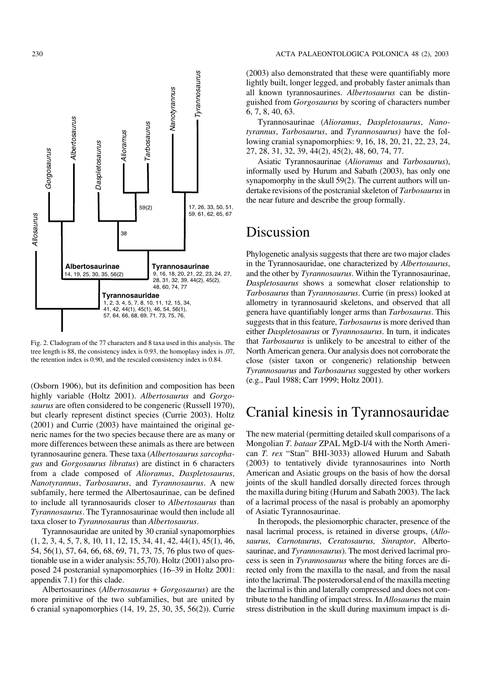

Fig. 2. Cladogram of the 77 characters and 8 taxa used in this analysis. The tree length is 88, the consistency index is 0.93, the homoplasy index is .07, the retention index is 0.90, and the rescaled consistency index is 0.84.

(Osborn 1906), but its definition and composition has been highly variable (Holtz 2001). *Albertosaurus* and *Gorgo− saurus* are often considered to be congeneric (Russell 1970), but clearly represent distinct species (Currie 2003). Holtz (2001) and Currie (2003) have maintained the original ge− neric names for the two species because there are as many or more differences between these animals as there are between tyrannosaurine genera. These taxa (*Albertosaurus sarcopha− gus* and *Gorgosaurus libratus*) are distinct in 6 characters from a clade composed of *Alioramus*, *Daspletosaurus*, *Nanotyrannus, Tarbosaurus, and Tyrannosaurus. A new* subfamily, here termed the Albertosaurinae, can be defined to include all tyrannosaurids closer to *Albertosaurus* than *Tyrannosaurus*. The Tyrannosaurinae would then include all taxa closer to *Tyrannosaurus* than *Albertosaurus*.

Tyrannosauridae are united by 30 cranial synapomorphies (1, 2, 3, 4, 5, 7, 8, 10, 11, 12, 15, 34, 41, 42, 44(1), 45(1), 46, 54, 56(1), 57, 64, 66, 68, 69, 71, 73, 75, 76 plus two of ques− tionable use in a wider analysis: 55,70). Holtz (2001) also pro− posed 24 postcranial synapomorphies (16–39 in Holtz 2001: appendix 7.1) for this clade.

Albertosaurines (*Albertosaurus* + *Gorgosaurus*) are the more primitive of the two subfamilies, but are united by 6 cranial synapomorphies (14, 19, 25, 30, 35, 56(2)). Currie (2003) also demonstrated that these were quantifiably more lightly built, longer legged, and probably faster animals than all known tyrannosaurines. *Albertosaurus* can be distin− guished from *Gorgosaurus* by scoring of characters number 6, 7, 8, 40, 63.

Tyrannosaurinae (*Alioramus*, *Daspletosaurus*, *Nano− tyrannus*, *Tarbosaurus*, and *Tyrannosaurus)* have the fol− lowing cranial synapomorphies: 9, 16, 18, 20, 21, 22, 23, 24, 27, 28, 31, 32, 39, 44(2), 45(2), 48, 60, 74, 77.

Asiatic Tyrannosaurinae (*Alioramus* and *Tarbosaurus*), informally used by Hurum and Sabath (2003), has only one synapomorphy in the skull 59(2). The current authors will undertake revisions of the postcranial skeleton of *Tarbosaurus*in the near future and describe the group formally.

#### Discussion

Phylogenetic analysis suggests that there are two major clades in the Tyrannosauridae, one characterized by *Albertosaurus*, and the other by *Tyrannosaurus*. Within the Tyrannosaurinae, *Daspletosaurus* shows a somewhat closer relationship to *Tarbosaurus* than *Tyrannosaurus*. Currie (in press) looked at allometry in tyrannosaurid skeletons, and observed that all genera have quantifiably longer arms than *Tarbosaurus*. This suggests that in this feature, *Tarbosaurus*is more derived than either *Daspletosaurus* or *Tyrannosaurus*. In turn, it indicates that *Tarbosaurus* is unlikely to be ancestral to either of the North American genera. Our analysis does not corroborate the close (sister taxon or congeneric) relationship between *Tyrannosaurus* and *Tarbosaurus* suggested by other workers (e.g., Paul 1988; Carr 1999; Holtz 2001).

#### Cranial kinesis in Tyrannosauridae

The new material (permitting detailed skull comparisons of a Mongolian *T. bataar* ZPAL MgD−I/4 with the North Ameri− can *T. rex* "Stan" BHI−3033) allowed Hurum and Sabath (2003) to tentatively divide tyrannosaurines into North American and Asiatic groups on the basis of how the dorsal joints of the skull handled dorsally directed forces through the maxilla during biting (Hurum and Sabath 2003). The lack of a lacrimal process of the nasal is probably an apomorphy of Asiatic Tyrannosaurinae.

In theropods, the plesiomorphic character, presence of the nasal lacrimal process, is retained in diverse groups, (*Allo− saurus*, *Carnotaurus*, *Ceratosaurus, Sinraptor*, Alberto− saurinae, and *Tyrannosaurus*). The most derived lacrimal pro− cess is seen in *Tyrannosaurus* where the biting forces are di− rected only from the maxilla to the nasal, and from the nasal into the lacrimal. The posterodorsal end of the maxilla meeting the lacrimal is thin and laterally compressed and does not con− tribute to the handling of impact stress. In *Allosaurus*the main stress distribution in the skull during maximum impact is di−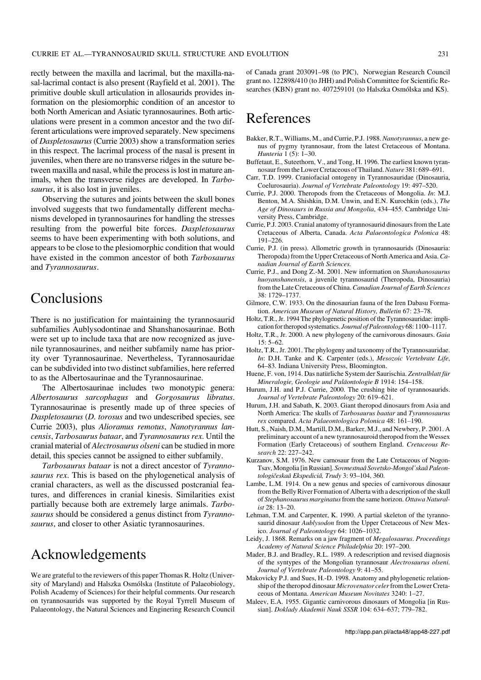rectly between the maxilla and lacrimal, but the maxilla−na− sal−lacrimal contact is also present (Rayfield et al. 2001). The primitive double skull articulation in allosaurids provides in− formation on the plesiomorphic condition of an ancestor to both North American and Asiatic tyrannosaurines. Both artic− ulations were present in a common ancestor and the two dif− ferent articulations were improved separately. New specimens of *Daspletosaurus* (Currie 2003) show a transformation series in this respect. The lacrimal process of the nasal is present in juveniles, when there are no transverse ridges in the suture be− tween maxilla and nasal, while the process is lost in mature an− imals, when the transverse ridges are developed. In *Tarbo− saurus*, it is also lost in juveniles.

Observing the sutures and joints between the skull bones involved suggests that two fundamentally different mecha− nisms developed in tyrannosaurines for handling the stresses resulting from the powerful bite forces. *Daspletosaurus* seems to have been experimenting with both solutions, and appears to be close to the plesiomorphic condition that would have existed in the common ancestor of both *Tarbosaurus* and *Tyrannosaurus*.

#### Conclusions

There is no justification for maintaining the tyrannosaurid subfamilies Aublysodontinae and Shanshanosaurinae. Both were set up to include taxa that are now recognized as juve− nile tyrannosaurines, and neither subfamily name has prior− ity over Tyrannosaurinae. Nevertheless, Tyrannosauridae can be subdivided into two distinct subfamilies, here referred to as the Albertosaurinae and the Tyrannosaurinae.

The Albertosaurinae includes two monotypic genera: *Albertosaurus sarcophagus* and *Gorgosaurus libratus*. Tyrannosaurinae is presently made up of three species of *Daspletosaurus* (*D. torosus* and two undescribed species, see Currie 2003), plus *Alioramus remotus*, *Nanotyrannus lan− censis*, *Tarbosaurus bataar*, and *Tyrannosaurus rex*. Until the cranial material of *Alectrosaurus olseni* can be studied in more detail, this species cannot be assigned to either subfamily.

*Tarbosaurus bataar* is not a direct ancestor of *Tyranno− saurus rex*. This is based on the phylogenetical analysis of cranial characters, as well as the discussed postcranial fea− tures, and differences in cranial kinesis. Similarities exist partially because both are extremely large animals. *Tarbo− saurus* should be considered a genus distinct from *Tyranno− saurus*, and closer to other Asiatic tyrannosaurines.

### Acknowledgements

We are grateful to the reviewers of this paper Thomas R. Holtz (Univer− sity of Maryland) and Halszka Osmólska (Institute of Palaeobiology, Polish Academy of Sciences) for their helpful comments. Our research on tyrannosaurids was supported by the Royal Tyrrell Museum of Palaeontology, the Natural Sciences and Enginering Research Council of Canada grant 203091–98 (to PJC), Norwegian Research Council grant no. 122898/410 (to JHH) and Polish Committee for Scientific Re− searches (KBN) grant no. 407259101 (to Halszka Osmólska and KS).

# References

- Bakker, R.T., Williams, M., and Currie, P.J. 1988. *Nanotyrannus*, a new ge− nus of pygmy tyrannosaur, from the latest Cretaceous of Montana. *Hunteria* 1 (5): 1–30.
- Buffetaut, E., Suteethorn, V., and Tong, H. 1996. The earliest known tyran− nosaur from the Lower Cretaceous of Thailand.*Nature* 381: 689–691.
- Carr, T.D. 1999. Craniofacial ontogeny in Tyrannosauridae (Dinosauria, Coelurosauria). *Journal of Vertebrate Paleontology* 19: 497–520.
- Currie, P.J. 2000. Theropods from the Cretaceous of Mongolia. *In*: M.J. Benton, M.A. Shishkin, D.M. Unwin, and E.N. Kurochkin (eds.), *The Age of Dinosaurs in Russia and Mongolia*, 434–455. Cambridge Uni− versity Press, Cambridge.
- Currie, P.J. 2003. Cranial anatomy of tyrannosaurid dinosaurs from the Late Cretaceous of Alberta, Canada. *Acta Palaeontologica Polonica* 48: 191–226.
- Currie, P.J. (in press). Allometric growth in tyrannosaurids (Dinosauria: Theropoda) from the Upper Cretaceous of North America and Asia.*Ca− nadian Journal of Earth Sciences.*
- Currie, P.J., and Dong Z.−M. 2001. New information on *Shanshanosaurus huoyanshanensis*, a juvenile tyrannosaurid (Theropoda, Dinosauria) from the Late Cretaceous of China.*Canadian Journal of Earth Sciences* 38: 1729–1737.
- Gilmore, C.W. 1933. On the dinosaurian fauna of the Iren Dabasu Forma− tion. *American Museum of Natural History, Bulletin* 67: 23–78.
- Holtz, T.R., Jr. 1994 The phylogenetic position of the Tyrannosauridae: impli− cation for theropod systematics. *Journal of Paleontology* 68: 1100–1117.
- Holtz, T.R., Jr. 2000. Anew phylogeny of the carnivorous dinosaurs. *Gaia*  $15: 5–62.$
- Holtz, T.R., Jr. 2001. The phylogeny and taxonomy of the Tyrannosauridae. *In*: D.H. Tanke and K. Carpenter (eds.), *Mesozoic Vertebrate Life*, 64–83. Indiana University Press, Bloomington.
- Huene, F. von, 1914. Das natürliche System der Saurischia. *Zentralblatt für Mineralogie, Geologie und Paläontologie B* 1914: 154–158.
- Hurum, J.H. and P.J. Currie, 2000. The crushing bite of tyrannosaurids. *Journal of Vertebrate Paleontology* 20: 619–621.
- Hurum, J.H. and Sabath, K. 2003. Giant theropod dinosaurs from Asia and North America: The skulls of *Tarbosaurus baatar* and *Tyrannosaurus rex* compared. *Acta Palaeontologica Polonica* 48: 161–190.
- Hutt, S., Naish, D.M., Martill, D.M., Barker, M.J., and Newbery, P. 2001. A preliminary account of a new tyrannosauroid theropod from the Wessex Formation (Early Cretaceous) of southern England. *Cretaceous Re− search* 22: 227–242.
- Kurzanov, S.M. 1976. New carnosaur from the Late Cretaceous of Nogon− Tsav, Mongolia [in Russian]. *Sovmestnaâ Sovetsko−Mongol'skaâ Paleon− tologičeskaâ Ekspediciâ, Trudy* 3: 93–104, 360.
- Lambe, L.M. 1914. On a new genus and species of carnivorous dinosaur from the Belly River Formation of Alberta with a description of the skull of *Stephanosaurus marginatus*from the same horizon. *Ottawa Natural− ist* 28: 13–20.
- Lehman, T.M. and Carpenter, K. 1990. A partial skeleton of the tyrannosaurid dinosaur *Aublysodon* from the Upper Cretaceous of New Mex− ico. *Journal of Paleontology* 64: 1026–1032.
- Leidy, J. 1868. Remarks on a jaw fragment of *Megalosaurus*. *Proceedings Academy of Natural Science Philadelphia* 20: 197–200.
- Mader, B.J. and Bradley, R.L. 1989. A redescription and revised diagnosis of the syntypes of the Mongolian tyrannosaur *Alectrosaurus olseni. Journal of Vertebrate Paleontology* 9: 41–55.
- Makovicky P.J. and Sues, H.−D. 1998. Anatomy and phylogenetic relation− ship of the theropod dinosaur *Microvenator celer*from the Lower Creta− ceous of Montana. *American Museum Novitates* 3240: 1–27.
- Maleev, E.A. 1955. Gigantic carnivorous dinosaurs of Mongolia [in Rus− sian]. *Doklady Akademii Nauk SSSR* 104: 634–637; 779–782.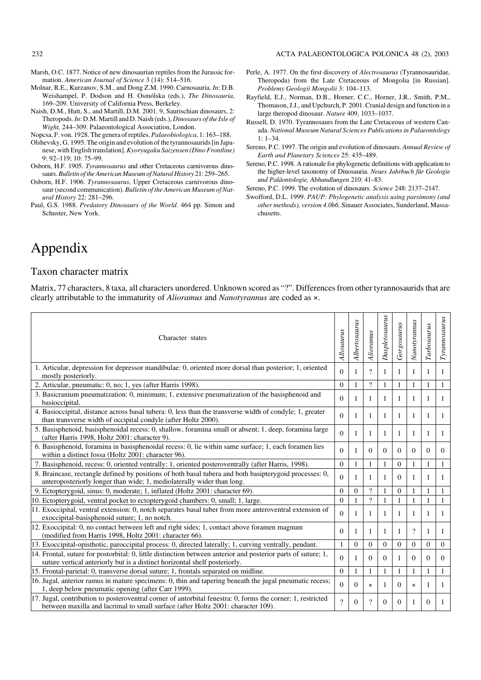- Marsh, O.C. 1877. Notice of new dinosaurian reptiles from the Jurassic for− mation. *American Journal of Science* 3 (14): 514–516.
- Molnar, R.E., Kurzanov, S.M., and Dong Z.M. 1990. Carnosauria. *In*: D.B. Weishampel, P. Dodson and H. Osmólska (eds.), *The Dinosauria*, 169–209. University of California Press, Berkeley.
- Naish, D.M., Hutt, S., and Martill, D.M. 2001. 9, Saurischian dinosaurs, 2: Theropods.*In*: D.M. Martill and D. Naish (eds.), *Dinosaurs of the Isle of Wight,* 244–309. Palaeontological Association, London.
- Nopcsa, F. von. 1928. The genera of reptiles.*Palaeobiologica*, 1: 163–188.
- Olshevsky, G. 1995. The origin and evolution of the tyrannosaurids [in Japa− nese, with English translation].*Kyoryugaku Saizensen (Dino Frontline)* 9: 92–119; 10: 75–99.
- Osborn, H.F. 1905. *Tyrannosaurus* and other Cretaceous carnivorous dino− saurs.*Bulletin of the American Museum of Natural History* 21: 259–265.
- Osborn, H.F. 1906. *Tyrannosaurus*, Upper Cretaceous carnivorous dino− saur (second communication). *Bulletin of the American Museum of Nat− ural History* 22: 281–296.
- Paul, G.S. 1988. *Predatory Dinosaurs of the World*. 464 pp. Simon and Schuster, New York.
- Perle, A. 1977. On the first discovery of *Alectrosaurus* (Tyrannosauridae, Theropoda) from the Late Cretaceous of Mongolia [in Russian]. *Problemy Geologii Mongolii* 3: 104–113.
- Rayfield, E.J., Norman, D.B., Horner, C.C., Horner, J.R., Smith, P.M., Thomason, J.J., and Upchurch, P. 2001. Cranial design and function in a large theropod dinosaur. *Nature* 409, 1033–1037.
- Russell, D. 1970. Tyrannosaurs from the Late Cretaceous of western Can− ada. *National Museum Natural Sciences Publications in Palaeontology*  $1: 1-34.$
- Sereno, P.C. 1997. The origin and evolution of dinosaurs. *Annual Review of Earth and Planetary Sciences* 25: 435–489.
- Sereno, P.C. 1998. A rationale for phylogenetic definitions with application to the higher−level taxonomy of Dinosauria. *Neues Jahrbuch für Geologie und Paläontologie, Abhandlungen* 210: 41–83.
- Sereno, P.C. 1999. The evolution of dinosaurs. *Science* 248: 2137–2147.
- Swofford, D.L. 1999. *PAUP: Phylogenetic analysis using parsimony (and other methods), version 4.0b6.* Sinauer Associates, Sunderland, Massa− chusetts.

## Appendix

#### Taxon character matrix

Matrix, 77 characters, 8 taxa, all characters unordered. Unknown scored as "?". Differences from other tyrannosaurids that are clearly attributable to the immaturity of *Alioramus* and *Nanotyrannus* are coded as ×.

| Character states                                                                                                                                                                                |              | Albertosaurus  | Alioranus    | Daspletosaurus | Gorgosaurus    | Nanotyrannus | Tarbosaurus  | Tyrannosaurus  |
|-------------------------------------------------------------------------------------------------------------------------------------------------------------------------------------------------|--------------|----------------|--------------|----------------|----------------|--------------|--------------|----------------|
| 1. Articular, depression for depressor mandibulae: 0, oriented more dorsal than posterior; 1, oriented<br>$\Omega$<br>mostly posteriorly.                                                       |              | $\mathbf{1}$   | $\gamma$     | 1              | 1              | 1            | 1            | $\mathbf{1}$   |
| 2. Articular, pneumatic: 0, no; 1, yes (after Harris 1998).                                                                                                                                     | $\Omega$     | $\mathbf{1}$   | $\gamma$     | 1              | 1              | 1            | $\mathbf{1}$ | $\mathbf{1}$   |
| 3. Basicranium pneumatization: 0, minimum; 1, extensive pneumatization of the basisphenoid and<br>basioccipital.                                                                                |              | 1              |              | 1              | 1              | 1            | 1            | 1              |
| 4. Basioccipital, distance across basal tubera: 0, less than the transverse width of condyle; 1, greater<br>than transverse width of occipital condyle (after Holtz 2000).                      |              | 1              | 1            | 1              | $\mathbf{1}$   | $\mathbf{1}$ | $\mathbf{1}$ | 1              |
| 5. Basisphenoid, basisphenoidal recess: 0, shallow, foramina small or absent; 1, deep, foramina large<br>(after Harris 1998, Holtz 2001: character 9).                                          | $\theta$     | 1              | 1            | 1              | 1              | 1            | -1           | $\overline{1}$ |
| 6. Basisphenoid, foramina in basisphenoidal recess: 0, lie within same surface; 1, each foramen lies<br>within a distinct fossa (Holtz 2001: character 96).                                     | $\Omega$     | 1              | $\Omega$     | $\Omega$       | $\Omega$       | $\Omega$     | $\Omega$     | $\overline{0}$ |
| 7. Basisphenoid, recess: 0, oriented ventrally; 1, oriented posteroventrally (after Harris, 1998).                                                                                              |              | 1              | $\mathbf{1}$ | 1              | $\overline{0}$ | $\mathbf{1}$ | $\mathbf{1}$ | $\mathbf{1}$   |
| 8. Braincase, rectangle defined by positions of both basal tubera and both basipterygoid processes: 0,<br>anteroposteriorly longer than wide; 1, mediolaterally wider than long.                |              | 1              | 1            | 1              | 0              | 1            | 1            | 1              |
| 9. Ectopterygoid, sinus: 0, moderate; 1, inflated (Holtz 2001: character 69).                                                                                                                   |              | $\overline{0}$ | $\gamma$     | 1              | $\overline{0}$ | 1            | 1            | $\mathbf{1}$   |
| 10. Ectopterygoid, ventral pocket to ectopterygoid chambers: 0, small; 1, large.                                                                                                                |              | $\mathbf{1}$   | $\gamma$     | $\mathbf{1}$   | 1              | $\mathbf{1}$ | $\mathbf{1}$ | $\mathbf{1}$   |
| 11. Exoccipital, ventral extension: 0, notch separates basal tuber from more anteroventral extension of<br>exoccipital-basisphenoid suture; 1, no notch.                                        |              | 1              | 1            | 1              | 1              | 1            | 1            | $\overline{1}$ |
| 12. Exoccipital: 0, no contact between left and right sides; 1, contact above foramen magnum<br>(modified from Harris 1998, Holtz 2001: character 66).                                          | $\Omega$     | 1              | 1            | 1              | 1              | $\gamma$     | 1            | 1              |
| 13. Exoccipital-opisthotic, paroccipital process: 0, directed laterally; 1, curving ventrally, pendant.                                                                                         | $\mathbf{1}$ | $\overline{0}$ | $\mathbf{0}$ | $\Omega$       | $\Omega$       | $\Omega$     | $\Omega$     | $\overline{0}$ |
| 14. Frontal, suture for postorbital: 0, little distinction between anterior and posterior parts of suture; 1,<br>suture vertical anteriorly but is a distinct horizontal shelf posteriorly.     |              | 1              | $\Omega$     | $\Omega$       | 1              | $\Omega$     | $\Omega$     | $\theta$       |
| 15. Frontal-parietal: 0, transverse dorsal suture; 1, frontals separated on midline.                                                                                                            |              | $\mathbf{1}$   | 1            | $\mathbf{1}$   | 1              | $\mathbf{1}$ | $\mathbf{1}$ | $\mathbf{1}$   |
| 16. Jugal, anterior ramus in mature specimens: 0, thin and tapering beneath the jugal pneumatic recess;<br>1, deep below pneumatic opening (after Carr 1999).                                   |              | $\overline{0}$ | $\times$     | 1              | $\Omega$       | $\times$     | $\mathbf{1}$ | 1              |
| 17. Jugal, contribution to posteroventral corner of antorbital fenestra: 0, forms the corner; 1, restricted<br>between maxilla and lacrimal to small surface (after Holtz 2001: character 109). | $\gamma$     | $\Omega$       | $\gamma$     | $\Omega$       | $\Omega$       | 1            | $\Omega$     | $\overline{1}$ |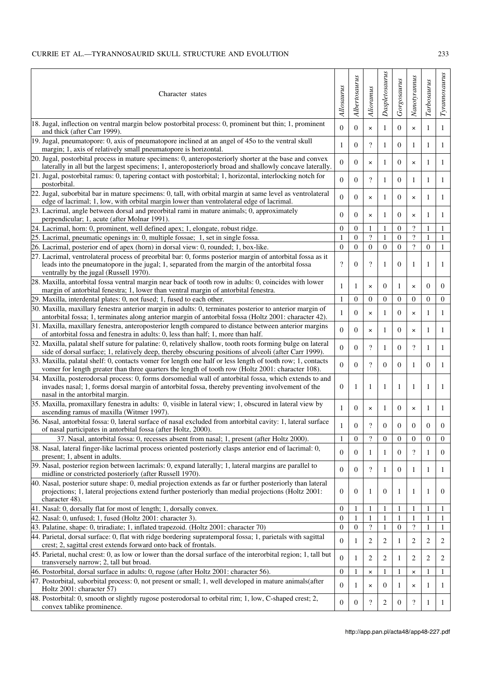$\overline{1}$ 

| Character states                                                                                                                                                                                                                                       |                        | Albertosaurus    | Alioranus                | Daspletosaurus | Gorgosaurus      | Nanotyrannus             | Tarbosaurus      | Tyrannosaurus  |
|--------------------------------------------------------------------------------------------------------------------------------------------------------------------------------------------------------------------------------------------------------|------------------------|------------------|--------------------------|----------------|------------------|--------------------------|------------------|----------------|
| 18. Jugal, inflection on ventral margin below postorbital process: 0, prominent but thin; 1, prominent<br>and thick (after Carr 1999).                                                                                                                 | Allosaurus<br>$\theta$ | $\overline{0}$   | $\pmb{\times}$           | $\mathbf{1}$   | $\overline{0}$   | $\times$                 | 1                | $\mathbf{1}$   |
| 19. Jugal, pneumatopore: 0, axis of pneumatopore inclined at an angel of 45o to the ventral skull<br>margin; 1, axis of relatively small pneumatopore is horizontal.                                                                                   | 1                      | $\mathbf{0}$     | $\gamma$                 | 1              | $\mathbf{0}$     | 1                        | 1                | 1              |
| $[20.$ Jugal, postorbital process in mature specimens: 0, anteroposteriorly shorter at the base and convex<br>laterally in all but the largest specimens; 1, anteroposteriorly broad and shallowly concave laterally.                                  | $\theta$               | $\overline{0}$   | $\pmb{\times}$           | 1              | $\mathbf{0}$     | $\times$                 | 1                | 1              |
| $21.$ Jugal, postorbital ramus: 0, tapering contact with postorbital; 1, horizontal, interlocking notch for<br>postorbital.                                                                                                                            | $\theta$               | $\mathbf{0}$     | $\overline{\mathcal{L}}$ | 1              | $\mathbf{0}$     | 1                        | 1                | 1              |
| $[22.$ Jugal, suborbital bar in mature specimens: 0, tall, with orbital margin at same level as ventrolateral<br>$\theta$<br>edge of lacrimal; 1, low, with orbital margin lower than ventrolateral edge of lacrimal.                                  |                        | $\overline{0}$   | $\times$                 | 1              | $\mathbf{0}$     | $\times$                 | 1                | 1              |
| [23. Lacrimal, angle between dorsal and preorbital rami in mature animals; 0, approximately<br>perpendicular; 1, acute (after Molnar 1991).                                                                                                            | $\theta$               | $\overline{0}$   | $\times$                 | 1              | $\mathbf{0}$     | $\times$                 | 1                | $\mathbf{1}$   |
| 24. Lacrimal, horn: 0, prominent, well defined apex; 1, elongate, robust ridge.                                                                                                                                                                        | $\theta$               | $\boldsymbol{0}$ | 1                        | 1              | $\boldsymbol{0}$ | $\overline{\mathcal{L}}$ | 1                | 1              |
| 25. Lacrimal, pneumatic openings in: 0, multiple fossae; 1, set in single fossa.                                                                                                                                                                       | $\mathbf{1}$           | $\mathbf{0}$     | $\overline{\cdot}$       | 1              | $\mathbf{0}$     | $\overline{\mathcal{L}}$ | 1                | $\mathbf{1}$   |
| 26. Lacrimal, posterior end of apex (horn) in dorsal view: 0, rounded; 1, box-like.                                                                                                                                                                    | $\theta$               | $\mathbf{0}$     | $\overline{0}$           | $\mathbf{0}$   | $\mathbf{0}$     | $\overline{?}$           | $\mathbf{0}$     | $\mathbf{1}$   |
| 27. Lacrimal, ventrolateral process of preorbital bar: 0, forms posterior margin of antorbital fossa as it<br>leads into the pneumatopore in the jugal; 1, separated from the margin of the antorbital fossa<br>ventrally by the jugal (Russell 1970). | $\gamma$               | $\mathbf{0}$     | $\gamma$                 | 1              | $\mathbf{0}$     | $\mathbf{1}$             | 1                | 1              |
| 28. Maxilla, antorbital fossa ventral margin near back of tooth row in adults: 0, coincides with lower<br>margin of antorbital fenestra; 1, lower than ventral margin of antorbital fenestra.                                                          | 1                      | 1                | $\pmb{\times}$           | $\mathbf{0}$   | 1                | ×                        | $\mathbf{0}$     | $\mathbf{0}$   |
| 29. Maxilla, interdental plates: 0, not fused; 1, fused to each other.                                                                                                                                                                                 | $\mathbf{1}$           | $\overline{0}$   | $\overline{0}$           | $\mathbf{0}$   | $\mathbf{0}$     | $\theta$                 | $\overline{0}$   | $\overline{0}$ |
| 30. Maxilla, maxillary fenestra anterior margin in adults: 0, terminates posterior to anterior margin of<br>antorbital fossa; 1, terminates along anterior margin of antorbital fossa (Holtz 2001: character 42).                                      | 1                      | $\overline{0}$   | $\times$                 | 1              | $\mathbf{0}$     | ×                        | 1                | $\mathbf{1}$   |
| 31. Maxilla, maxillary fenestra, anteroposterior length compared to distance between anterior margins<br>of antorbital fossa and fenestra in adults: 0, less than half; 1, more than half.                                                             | $\theta$               | $\overline{0}$   | $\pmb{\times}$           | 1              | $\mathbf{0}$     | ×                        | 1                | 1              |
| 32. Maxilla, palatal shelf suture for palatine: 0, relatively shallow, tooth roots forming bulge on lateral<br>side of dorsal surface; 1, relatively deep, thereby obscuring positions of alveoli (after Carr 1999).                                   | $\theta$               | $\overline{0}$   | $\gamma$                 | 1              | $\mathbf{0}$     | $\gamma$                 | 1                | 1              |
| 33. Maxilla, palatal shelf: 0, contacts vomer for length one half or less length of tooth row; 1, contacts<br>vomer for length greater than three quarters the length of tooth row (Holtz 2001: character 108).                                        | $\Omega$               | $\overline{0}$   | $\gamma$                 | $\overline{0}$ | $\mathbf{0}$     | 1                        | $\mathbf{0}$     | $\mathbf{1}$   |
| 34. Maxilla, posterodorsal process: 0, forms dorsomedial wall of antorbital fossa, which extends to and<br>invades nasal; 1, forms dorsal margin of antorbital fossa, thereby preventing involvement of the<br>nasal in the antorbital margin.         | $\Omega$               | 1                | 1                        | 1              | 1                | 1                        | 1                | 1              |
| 35. Maxilla, promaxillary fenestra in adults: 0, visible in lateral view; 1, obscured in lateral view by<br>ascending ramus of maxilla (Witmer 1997).                                                                                                  | 1                      | $\overline{0}$   | $\pmb{\times}$           | 1              | $\mathbf{0}$     | ×                        | 1                | 1              |
| 36. Nasal, antorbital fossa: 0, lateral surface of nasal excluded from antorbital cavity: 1, lateral surface<br>of nasal participates in antorbital fossa (after Holtz, 2000).                                                                         | 1                      | $\mathbf{0}$     | $\gamma$                 | $\overline{0}$ | $\Omega$         | $\Omega$                 | $\mathbf{0}$     | $\mathbf{0}$   |
| 37. Nasal, antorbital fossa: 0, recesses absent from nasal; 1, present (after Holtz 2000).                                                                                                                                                             | $\mathbf{1}$           | $\boldsymbol{0}$ | $\overline{\cdot}$       | $\mathbf{0}$   | $\mathbf{0}$     | $\mathbf{0}$             | $\boldsymbol{0}$ | $\overline{0}$ |
| 38. Nasal, lateral finger-like lacrimal process oriented posteriorly clasps anterior end of lacrimal: 0,<br>present; 1, absent in adults.                                                                                                              | $\Omega$               | $\overline{0}$   | 1                        | 1              | $\mathbf{0}$     | $\overline{?}$           | 1                | $\overline{0}$ |
| 39. Nasal, posterior region between lacrimals: 0, expand laterally; 1, lateral margins are parallel to<br>midline or constricted posteriorly (after Russell 1970).                                                                                     | $\Omega$               | $\overline{0}$   | $\overline{\mathcal{L}}$ | 1              | $\mathbf{0}$     | 1                        | 1                | $\mathbf{1}$   |
| 40. Nasal, posterior suture shape: 0, medial projection extends as far or further posteriorly than lateral<br>projections; 1, lateral projections extend further posteriorly than medial projections (Holtz 2001:<br>character 48).                    | $\mathbf{0}$           | $\mathbf{0}$     | 1                        | $\mathbf{0}$   | 1                | 1                        | 1                | $\overline{0}$ |
| 41. Nasal: 0, dorsally flat for most of length; 1, dorsally convex.                                                                                                                                                                                    | $\theta$               | 1                | 1                        | 1              | 1                | 1                        | 1                | $\mathbf{1}$   |
| 42. Nasal: 0, unfused; 1, fused (Holtz 2001: character 3).                                                                                                                                                                                             | $\theta$               | 1                | 1                        | 1              | 1                | 1                        | 1                | 1              |
| 43. Palatine, shape: 0, triradiate; 1, inflated trapezoid. (Holtz 2001: character 70)                                                                                                                                                                  | $\theta$               | $\boldsymbol{0}$ | $\overline{\mathcal{L}}$ | 1              | $\boldsymbol{0}$ | $\overline{\cdot}$       | 1                | 1              |
| 44. Parietal, dorsal surface: 0, flat with ridge bordering supratemporal fossa; 1, parietals with sagittal                                                                                                                                             | $\Omega$               | 1                | 2                        | 2              | 1                | 2                        | 2                | 2              |
| crest; 2, sagittal crest extends forward onto back of frontals.<br>45. Parietal, nuchal crest: 0, as low or lower than the dorsal surface of the interorbital region; 1, tall but<br>transversely narrow; 2, tall but broad.                           |                        | 1                | 2                        | 2              | 1                | 2                        | 2                | 2              |
| 46. Postorbital, dorsal surface in adults: 0, rugose (after Holtz 2001: character 56).                                                                                                                                                                 | $\theta$               | 1                | ×                        | 1              | 1                | ×                        | 1                | $\mathbf{1}$   |
| 47. Postorbital, suborbital process: 0, not present or small; 1, well developed in mature animals (after<br>Holtz 2001: character 57)                                                                                                                  | $\Omega$               | 1                | $\pmb{\times}$           | $\overline{0}$ | 1                | $\times$                 | 1                | -1             |
| 48. Postorbital: 0, smooth or slightly rugose posterodorsal to orbital rim; 1, low, C-shaped crest; 2,<br>convex tablike prominence.                                                                                                                   | $\theta$               | $\mathbf{0}$     | $\overline{\cdot}$       | 2              | $\boldsymbol{0}$ | $\overline{\mathcal{L}}$ | 1                | $\mathbf{1}$   |
|                                                                                                                                                                                                                                                        |                        |                  |                          |                |                  |                          |                  |                |